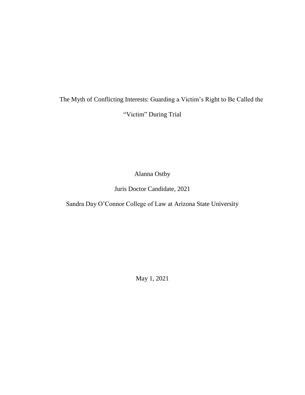# The Myth of Conflicting Interests: Guarding a Victim's Right to Be Called the "Victim" During Trial

Alanna Ostby

Juris Doctor Candidate, 2021

Sandra Day O'Connor College of Law at Arizona State University

May 1, 2021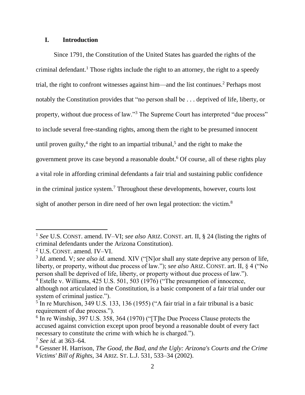# **I. Introduction**

Since 1791, the Constitution of the United States has guarded the rights of the criminal defendant. <sup>1</sup> Those rights include the right to an attorney, the right to a speedy trial, the right to confront witnesses against him—and the list continues.<sup>2</sup> Perhaps most notably the Constitution provides that "no person shall be . . . deprived of life, liberty, or property, without due process of law."<sup>3</sup> The Supreme Court has interpreted "due process" to include several free-standing rights, among them the right to be presumed innocent until proven guilty,<sup>4</sup> the right to an impartial tribunal,<sup>5</sup> and the right to make the government prove its case beyond a reasonable doubt. <sup>6</sup> Of course, all of these rights play a vital role in affording criminal defendants a fair trial and sustaining public confidence in the criminal justice system.<sup>7</sup> Throughout these developments, however, courts lost sight of another person in dire need of her own legal protection: the victim.<sup>8</sup>

<sup>1</sup> *See* U.S. CONST. amend. IV–VI; *see also* ARIZ. CONST. art. II, § 24 (listing the rights of criminal defendants under the Arizona Constitution).

<sup>2</sup> U.S. CONST. amend. IV–VI.

<sup>&</sup>lt;sup>3</sup> *Id.* amend. V; *see also id.* amend. XIV ("[N]or shall any state deprive any person of life, liberty, or property, without due process of law."); *see also* ARIZ. CONST. art. II, § 4 ("No person shall be deprived of life, liberty, or property without due process of law.").

<sup>4</sup> Estelle v. Williams, 425 U.S. 501, 503 (1976) ("The presumption of innocence, although not articulated in the Constitution, is a basic component of a fair trial under our system of criminal justice.").

<sup>&</sup>lt;sup>5</sup> In re Murchison, 349 U.S. 133, 136 (1955) ("A fair trial in a fair tribunal is a basic requirement of due process.").

<sup>&</sup>lt;sup>6</sup> In re Winship, 397 U.S. 358, 364 (1970) ("[T]he Due Process Clause protects the accused against conviction except upon proof beyond a reasonable doubt of every fact necessary to constitute the crime with which he is charged.").

<sup>7</sup> *See id.* at 363–64.

<sup>8</sup> Gessner H. Harrison, *The Good, the Bad, and the Ugly: Arizona's Courts and the Crime Victims' Bill of Rights*, 34 ARIZ. ST. L.J. 531, 533–34 (2002).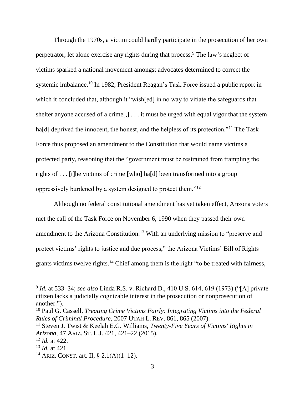Through the 1970s, a victim could hardly participate in the prosecution of her own perpetrator, let alone exercise any rights during that process. <sup>9</sup> The law's neglect of victims sparked a national movement amongst advocates determined to correct the systemic imbalance.<sup>10</sup> In 1982, President Reagan's Task Force issued a public report in which it concluded that, although it "wish[ed] in no way to vitiate the safeguards that shelter anyone accused of a crime[,] . . . it must be urged with equal vigor that the system ha<sup>[d]</sup> deprived the innocent, the honest, and the helpless of its protection."<sup>11</sup> The Task Force thus proposed an amendment to the Constitution that would name victims a protected party, reasoning that the "government must be restrained from trampling the rights of . . . [t]he victims of crime [who] ha[d] been transformed into a group oppressively burdened by a system designed to protect them."<sup>12</sup>

Although no federal constitutional amendment has yet taken effect, Arizona voters met the call of the Task Force on November 6, 1990 when they passed their own amendment to the Arizona Constitution.<sup>13</sup> With an underlying mission to "preserve and protect victims' rights to justice and due process," the Arizona Victims' Bill of Rights grants victims twelve rights.<sup>14</sup> Chief among them is the right "to be treated with fairness,

<sup>9</sup> *Id.* at 533–34; *see also* Linda R.S. v. Richard D., 410 U.S. 614, 619 (1973) ("[A] private citizen lacks a judicially cognizable interest in the prosecution or nonprosecution of another.").

<sup>10</sup> Paul G. Cassell, *Treating Crime Victims Fairly: Integrating Victims into the Federal Rules of Criminal Procedure*, 2007 UTAH L. REV. 861, 865 (2007).

<sup>11</sup> Steven J. Twist & Keelah E.G. Williams, *Twenty-Five Years of Victims' Rights in Arizona*, 47 ARIZ. ST. L.J. 421, 421–22 (2015).

<sup>12</sup> *Id.* at 422.

<sup>13</sup> *Id.* at 421.

<sup>&</sup>lt;sup>14</sup> ARIZ. CONST. art. II, § 2.1(A)(1–12).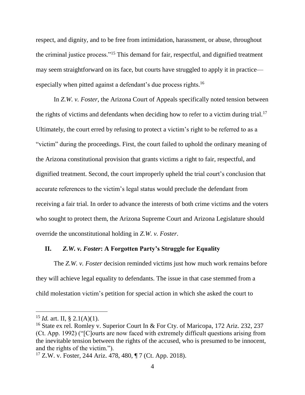respect, and dignity, and to be free from intimidation, harassment, or abuse, throughout the criminal justice process."<sup>15</sup> This demand for fair, respectful, and dignified treatment may seem straightforward on its face, but courts have struggled to apply it in practice especially when pitted against a defendant's due process rights.<sup>16</sup>

In *Z.W. v. Foster*, the Arizona Court of Appeals specifically noted tension between the rights of victims and defendants when deciding how to refer to a victim during trial.<sup>17</sup> Ultimately, the court erred by refusing to protect a victim's right to be referred to as a "victim" during the proceedings. First, the court failed to uphold the ordinary meaning of the Arizona constitutional provision that grants victims a right to fair, respectful, and dignified treatment. Second, the court improperly upheld the trial court's conclusion that accurate references to the victim's legal status would preclude the defendant from receiving a fair trial. In order to advance the interests of both crime victims and the voters who sought to protect them, the Arizona Supreme Court and Arizona Legislature should override the unconstitutional holding in *Z.W. v. Foster*.

#### **II.** *Z.W. v. Foster***: A Forgotten Party's Struggle for Equality**

The *Z.W. v. Foster* decision reminded victims just how much work remains before they will achieve legal equality to defendants. The issue in that case stemmed from a child molestation victim's petition for special action in which she asked the court to

<sup>&</sup>lt;sup>15</sup> *Id.* art. II, § 2.1(A)(1).

<sup>&</sup>lt;sup>16</sup> State ex rel. Romley v. Superior Court In & For Cty. of Maricopa, 172 Ariz. 232, 237 (Ct. App. 1992) ("[C]ourts are now faced with extremely difficult questions arising from the inevitable tension between the rights of the accused, who is presumed to be innocent, and the rights of the victim.").

<sup>17</sup> Z.W. v. Foster, 244 Ariz. 478, 480, ¶ 7 (Ct. App. 2018).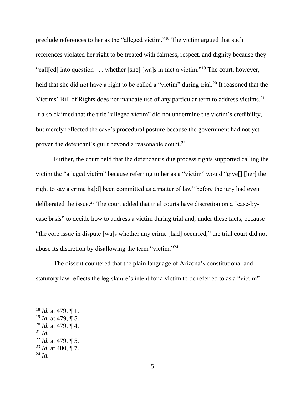preclude references to her as the "alleged victim."<sup>18</sup> The victim argued that such references violated her right to be treated with fairness, respect, and dignity because they "call[ed] into question . . . whether [she] [wa]s in fact a victim."<sup>19</sup> The court, however, held that she did not have a right to be called a "victim" during trial.<sup>20</sup> It reasoned that the Victims' Bill of Rights does not mandate use of any particular term to address victims.<sup>21</sup> It also claimed that the title "alleged victim" did not undermine the victim's credibility, but merely reflected the case's procedural posture because the government had not yet proven the defendant's guilt beyond a reasonable doubt.<sup>22</sup>

Further, the court held that the defendant's due process rights supported calling the victim the "alleged victim" because referring to her as a "victim" would "give[] [her] the right to say a crime ha[d] been committed as a matter of law" before the jury had even deliberated the issue.<sup>23</sup> The court added that trial courts have discretion on a "case-bycase basis" to decide how to address a victim during trial and, under these facts, because "the core issue in dispute [wa]s whether any crime [had] occurred," the trial court did not abuse its discretion by disallowing the term "victim."<sup>24</sup>

The dissent countered that the plain language of Arizona's constitutional and statutory law reflects the legislature's intent for a victim to be referred to as a "victim"

- <sup>19</sup> *Id.* at 479, ¶ 5.
- <sup>20</sup> *Id.* at 479, ¶ 4.
- <sup>21</sup> *Id.*

- <sup>22</sup> *Id.* at 479, ¶ 5.
- <sup>23</sup> *Id*. at 480, ¶ 7.

<sup>18</sup> *Id.* at 479, ¶ 1.

<sup>24</sup> *Id.*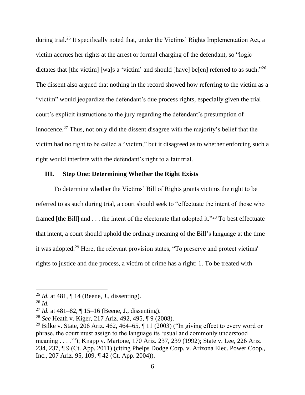during trial.<sup>25</sup> It specifically noted that, under the Victims' Rights Implementation Act, a victim accrues her rights at the arrest or formal charging of the defendant, so "logic dictates that [the victim] [wa]s a 'victim' and should [have] be[en] referred to as such."<sup>26</sup> The dissent also argued that nothing in the record showed how referring to the victim as a "victim" would jeopardize the defendant's due process rights, especially given the trial court's explicit instructions to the jury regarding the defendant's presumption of innocence. <sup>27</sup> Thus, not only did the dissent disagree with the majority's belief that the victim had no right to be called a "victim," but it disagreed as to whether enforcing such a right would interfere with the defendant's right to a fair trial.

# **III. Step One: Determining Whether the Right Exists**

To determine whether the Victims' Bill of Rights grants victims the right to be referred to as such during trial, a court should seek to "effectuate the intent of those who framed [the Bill] and . . . the intent of the electorate that adopted it."<sup>28</sup> To best effectuate that intent, a court should uphold the ordinary meaning of the Bill's language at the time it was adopted. <sup>29</sup> Here, the relevant provision states, "To preserve and protect victims' rights to justice and due process, a victim of crime has a right: 1. To be treated with

<sup>25</sup> *Id.* at 481, ¶ 14 (Beene, J., dissenting).

<sup>26</sup> *Id.*

<sup>27</sup> *Id.* at 481–82, ¶ 15–16 (Beene, J., dissenting).

<sup>28</sup> *See* Heath v. Kiger, 217 Ariz. 492, 495, ¶ 9 (2008).

<sup>&</sup>lt;sup>29</sup> Bilke v. State, 206 Ariz. 462, 464–65,  $\P$  11 (2003) ("In giving effect to every word or phrase, the court must assign to the language its 'usual and commonly understood meaning . . . .'"); Knapp v. Martone, 170 Ariz. 237, 239 (1992); State v. Lee, 226 Ariz. 234, 237, ¶ 9 (Ct. App. 2011) (citing Phelps Dodge Corp. v. Arizona Elec. Power Coop., Inc., 207 Ariz. 95, 109, ¶ 42 (Ct. App. 2004)).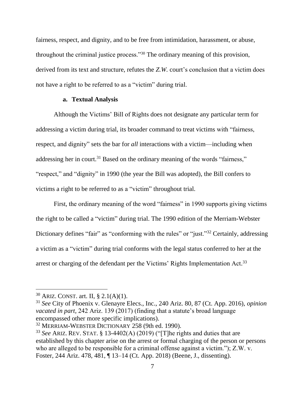fairness, respect, and dignity, and to be free from intimidation, harassment, or abuse, throughout the criminal justice process."<sup>30</sup> The ordinary meaning of this provision, derived from its text and structure, refutes the *Z.W.* court's conclusion that a victim does not have a right to be referred to as a "victim" during trial.

## **a. Textual Analysis**

Although the Victims' Bill of Rights does not designate any particular term for addressing a victim during trial, its broader command to treat victims with "fairness, respect, and dignity" sets the bar for *all* interactions with a victim—including when addressing her in court.<sup>31</sup> Based on the ordinary meaning of the words "fairness," "respect," and "dignity" in 1990 (the year the Bill was adopted), the Bill confers to victims a right to be referred to as a "victim" throughout trial.

First, the ordinary meaning of the word "fairness" in 1990 supports giving victims the right to be called a "victim" during trial. The 1990 edition of the Merriam-Webster Dictionary defines "fair" as "conforming with the rules" or "just."<sup>32</sup> Certainly, addressing a victim as a "victim" during trial conforms with the legal status conferred to her at the arrest or charging of the defendant per the Victims' Rights Implementation Act.<sup>33</sup>

<sup>30</sup> ARIZ. CONST. art. II, § 2.1(A)(1).

<sup>31</sup> *See* City of Phoenix v. Glenayre Elecs., Inc., 240 Ariz. 80, 87 (Ct. App. 2016), *opinion vacated in part,* 242 Ariz. 139 (2017) (finding that a statute's broad language encompassed other more specific implications).

<sup>32</sup> MERRIAM-WEBSTER DICTIONARY 258 (9th ed. 1990).

<sup>33</sup> *See* ARIZ. REV. STAT. § 13-4402(A) (2019) ("[T]he rights and duties that are established by this chapter arise on the arrest or formal charging of the person or persons who are alleged to be responsible for a criminal offense against a victim."); Z.W. v. Foster, 244 Ariz. 478, 481, ¶ 13–14 (Ct. App. 2018) (Beene, J., dissenting).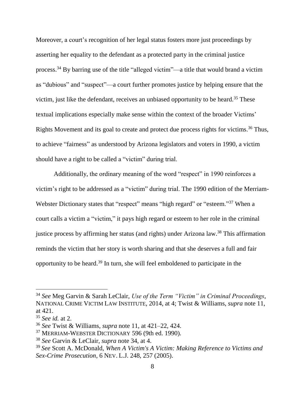Moreover, a court's recognition of her legal status fosters more just proceedings by asserting her equality to the defendant as a protected party in the criminal justice process. <sup>34</sup> By barring use of the title "alleged victim"—a title that would brand a victim as "dubious" and "suspect"—a court further promotes justice by helping ensure that the victim, just like the defendant, receives an unbiased opportunity to be heard. <sup>35</sup> These textual implications especially make sense within the context of the broader Victims' Rights Movement and its goal to create and protect due process rights for victims.<sup>36</sup> Thus, to achieve "fairness" as understood by Arizona legislators and voters in 1990, a victim should have a right to be called a "victim" during trial.

Additionally, the ordinary meaning of the word "respect" in 1990 reinforces a victim's right to be addressed as a "victim" during trial. The 1990 edition of the Merriam-Webster Dictionary states that "respect" means "high regard" or "esteem."<sup>37</sup> When a court calls a victim a "victim," it pays high regard or esteem to her role in the criminal justice process by affirming her status (and rights) under Arizona law. <sup>38</sup> This affirmation reminds the victim that her story is worth sharing and that she deserves a full and fair opportunity to be heard.<sup>39</sup> In turn, she will feel emboldened to participate in the

<sup>34</sup> *See* Meg Garvin & Sarah LeClair, *Use of the Term "Victim" in Criminal Proceedings*, NATIONAL CRIME VICTIM LAW INSTITUTE, 2014, at 4; Twist & Williams, *supra* note 11, at 421.

<sup>35</sup> *See id.* at 2.

<sup>36</sup> *See* Twist & Williams, *supra* note 11, at 421–22, 424.

<sup>37</sup> MERRIAM-WEBSTER DICTIONARY 596 (9th ed. 1990).

<sup>38</sup> *See* Garvin & LeClair, *supra* note 34, at 4.

<sup>39</sup> *See* Scott A. McDonald, *When A Victim's A Victim: Making Reference to Victims and Sex-Crime Prosecution*, 6 NEV. L.J. 248, 257 (2005).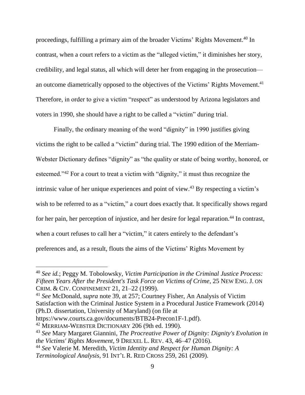proceedings, fulfilling a primary aim of the broader Victims' Rights Movement. <sup>40</sup> In contrast, when a court refers to a victim as the "alleged victim," it diminishes her story, credibility, and legal status, all which will deter her from engaging in the prosecution an outcome diametrically opposed to the objectives of the Victims' Rights Movement.<sup>41</sup> Therefore, in order to give a victim "respect" as understood by Arizona legislators and voters in 1990, she should have a right to be called a "victim" during trial.

Finally, the ordinary meaning of the word "dignity" in 1990 justifies giving victims the right to be called a "victim" during trial. The 1990 edition of the Merriam-Webster Dictionary defines "dignity" as "the quality or state of being worthy, honored, or esteemed."<sup>42</sup> For a court to treat a victim with "dignity," it must thus recognize the intrinsic value of her unique experiences and point of view. <sup>43</sup> By respecting a victim's wish to be referred to as a "victim," a court does exactly that. It specifically shows regard for her pain, her perception of injustice, and her desire for legal reparation.<sup>44</sup> In contrast, when a court refuses to call her a "victim," it caters entirely to the defendant's preferences and, as a result, flouts the aims of the Victims' Rights Movement by

<sup>41</sup> *See* McDonald, *supra* note 39, at 257; Courtney Fisher, An Analysis of Victim Satisfaction with the Criminal Justice System in a Procedural Justice Framework (2014) (Ph.D. dissertation, University of Maryland) (on file at

https://www.courts.ca.gov/documents/BTB24-Precon1F-1.pdf).

<sup>42</sup> MERRIAM-WEBSTER DICTIONARY 206 (9th ed. 1990).

<sup>40</sup> *See id.*; Peggy M. Tobolowsky, *Victim Participation in the Criminal Justice Process: Fifteen Years After the President's Task Force on Victims of Crime*, 25 NEW ENG. J. ON CRIM. & CIV. CONFINEMENT 21, 21–22 (1999).

<sup>43</sup> *See* Mary Margaret Giannini, *The Procreative Power of Dignity: Dignity's Evolution in the Victims' Rights Movement*, 9 DREXEL L. REV. 43, 46–47 (2016).

<sup>44</sup> *See* Valerie M. Meredith, *Victim Identity and Respect for Human Dignity: A Terminological Analysis*, 91 INT'L R. RED CROSS 259, 261 (2009).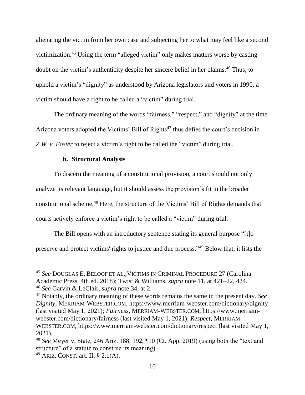alienating the victim from her own case and subjecting her to what may feel like a second victimization. <sup>45</sup> Using the term "alleged victim" only makes matters worse by casting doubt on the victim's authenticity despite her sincere belief in her claims. <sup>46</sup> Thus, to uphold a victim's "dignity" as understood by Arizona legislators and voters in 1990, a victim should have a right to be called a "victim" during trial.

The ordinary meaning of the words "fairness," "respect," and "dignity" at the time Arizona voters adopted the Victims' Bill of Rights<sup> $47$ </sup> thus defies the court's decision in *Z.W. v. Foster* to reject a victim's right to be called the "victim" during trial.

## **b. Structural Analysis**

To discern the meaning of a constitutional provision, a court should not only analyze its relevant language, but it should assess the provision's fit in the broader constitutional scheme. <sup>48</sup> Here, the structure of the Victims' Bill of Rights demands that courts actively enforce a victim's right to be called a "victim" during trial.

The Bill opens with an introductory sentence stating its general purpose "[t]o preserve and protect victims' rights to justice and due process."<sup>49</sup> Below that, it lists the

<sup>45</sup> *See* DOUGLAS E. BELOOF ET AL.,VICTIMS IN CRIMINAL PROCEDURE 27 (Carolina Academic Press, 4th ed. 2018); Twist & Williams, *supra* note 11, at 421–22, 424. <sup>46</sup> *See* Garvin & LeClair, *supra* note 34, at 2.

<sup>47</sup> Notably, the ordinary meaning of these words remains the same in the present day. *See Dignity*, MERRIAM-WEBSTER.COM, https://www.merriam-webster.com/dictionary/dignity (last visited May 1, 2021); *Fairness*, MERRIAM-WEBSTER.COM, https://www.merriamwebster.com/dictionary/fairness (last visited May 1, 2021); *Respect*, MERRIAM-WEBSTER.COM, https://www.merriam-webster.com/dictionary/respect (last visited May 1, 2021).

<sup>48</sup> *See* Meyer v. State, 246 Ariz. 188, 192, ¶10 (Ct. App. 2019) (using both the "text and structure" of a statute to construe its meaning).

<sup>&</sup>lt;sup>49</sup> ARIZ. CONST. art. II,  $\S$  2.1(A).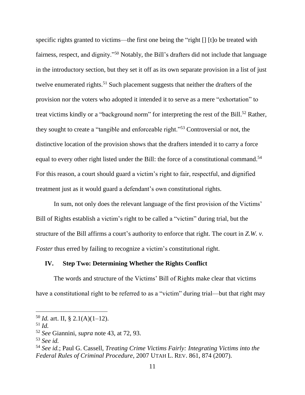specific rights granted to victims—the first one being the "right [] [t]o be treated with fairness, respect, and dignity."<sup>50</sup> Notably, the Bill's drafters did not include that language in the introductory section, but they set it off as its own separate provision in a list of just twelve enumerated rights.<sup>51</sup> Such placement suggests that neither the drafters of the provision nor the voters who adopted it intended it to serve as a mere "exhortation" to treat victims kindly or a "background norm" for interpreting the rest of the Bill.<sup>52</sup> Rather, they sought to create a "tangible and enforceable right."<sup>53</sup> Controversial or not, the distinctive location of the provision shows that the drafters intended it to carry a force equal to every other right listed under the Bill: the force of a constitutional command.<sup>54</sup> For this reason, a court should guard a victim's right to fair, respectful, and dignified treatment just as it would guard a defendant's own constitutional rights.

In sum, not only does the relevant language of the first provision of the Victims' Bill of Rights establish a victim's right to be called a "victim" during trial, but the structure of the Bill affirms a court's authority to enforce that right. The court in *Z.W. v. Foster* thus erred by failing to recognize a victim's constitutional right.

# **IV. Step Two: Determining Whether the Rights Conflict**

The words and structure of the Victims' Bill of Rights make clear that victims have a constitutional right to be referred to as a "victim" during trial—but that right may

<sup>&</sup>lt;sup>50</sup> *Id.* art. II, § 2.1(A)(1–12).

<sup>51</sup> *Id.*

<sup>52</sup> *See* Giannini, *supra* note 43, at 72, 93.

<sup>53</sup> *See id.*

<sup>54</sup> *See id.*; Paul G. Cassell, *Treating Crime Victims Fairly: Integrating Victims into the Federal Rules of Criminal Procedure*, 2007 UTAH L. REV. 861, 874 (2007).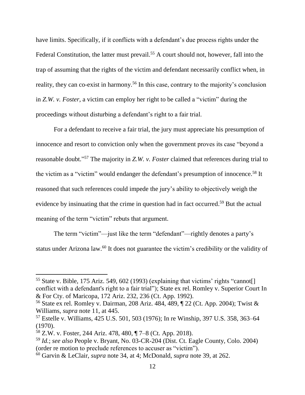have limits. Specifically, if it conflicts with a defendant's due process rights under the Federal Constitution, the latter must prevail.<sup>55</sup> A court should not, however, fall into the trap of assuming that the rights of the victim and defendant necessarily conflict when, in reality, they can co-exist in harmony.<sup>56</sup> In this case, contrary to the majority's conclusion in *Z.W. v. Foster*, a victim can employ her right to be called a "victim" during the proceedings without disturbing a defendant's right to a fair trial.

For a defendant to receive a fair trial, the jury must appreciate his presumption of innocence and resort to conviction only when the government proves its case "beyond a reasonable doubt." <sup>57</sup> The majority in *Z.W. v. Foster* claimed that references during trial to the victim as a "victim" would endanger the defendant's presumption of innocence.<sup>58</sup> It reasoned that such references could impede the jury's ability to objectively weigh the evidence by insinuating that the crime in question had in fact occurred.<sup>59</sup> But the actual meaning of the term "victim" rebuts that argument.

The term "victim"—just like the term "defendant"—rightly denotes a party's status under Arizona law.<sup>60</sup> It does not guarantee the victim's credibility or the validity of

<sup>&</sup>lt;sup>55</sup> State v. Bible, 175 Ariz. 549, 602 (1993) (explaining that victims' rights "cannot<sup>[]</sup> conflict with a defendant's right to a fair trial"); State ex rel. Romley v. Superior Court In & For Cty. of Maricopa, 172 Ariz. 232, 236 (Ct. App. 1992).

<sup>56</sup> State ex rel. Romley v. Dairman, 208 Ariz. 484, 489, ¶ 22 (Ct. App. 2004); Twist & Williams, *supra* note 11, at 445.

<sup>57</sup> Estelle v. Williams, 425 U.S. 501, 503 (1976); In re Winship, 397 U.S. 358, 363–64 (1970).

<sup>58</sup> Z.W. v. Foster, 244 Ariz. 478, 480, ¶ 7–8 (Ct. App. 2018).

<sup>59</sup> *Id.*; *see also* People v. Bryant, No. 03-CR-204 (Dist. Ct. Eagle County, Colo. 2004) (order re motion to preclude references to accuser as "victim").

<sup>60</sup> Garvin & LeClair, *supra* note 34, at 4; McDonald, *supra* note 39, at 262.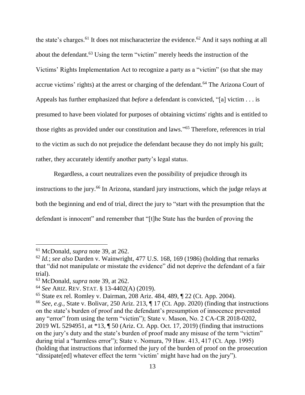the state's charges.<sup>61</sup> It does not mischaracterize the evidence.<sup>62</sup> And it says nothing at all about the defendant.<sup>63</sup> Using the term "victim" merely heeds the instruction of the Victims' Rights Implementation Act to recognize a party as a "victim" (so that she may accrue victims' rights) at the arrest or charging of the defendant.<sup>64</sup> The Arizona Court of Appeals has further emphasized that *before* a defendant is convicted, "[a] victim . . . is presumed to have been violated for purposes of obtaining victims' rights and is entitled to those rights as provided under our constitution and laws." <sup>65</sup> Therefore, references in trial to the victim as such do not prejudice the defendant because they do not imply his guilt; rather, they accurately identify another party's legal status.

Regardless, a court neutralizes even the possibility of prejudice through its instructions to the jury.<sup>66</sup> In Arizona, standard jury instructions, which the judge relays at both the beginning and end of trial, direct the jury to "start with the presumption that the defendant is innocent" and remember that "[t]he State has the burden of proving the

<sup>61</sup> McDonald, *supra* note 39, at 262.

<sup>62</sup> *Id.*; *see also* Darden v. Wainwright, 477 U.S. 168, 169 (1986) (holding that remarks that "did not manipulate or misstate the evidence" did not deprive the defendant of a fair trial).

<sup>63</sup> McDonald, *supra* note 39, at 262.

<sup>64</sup> *See* ARIZ. REV. STAT. § 13-4402(A) (2019).

<sup>65</sup> State ex rel. Romley v. Dairman, 208 Ariz. 484, 489, ¶ 22 (Ct. App. 2004).

<sup>66</sup> *See, e.g.,* State v. Bolivar, 250 Ariz. 213, ¶ 17 (Ct. App. 2020) (finding that instructions on the state's burden of proof and the defendant's presumption of innocence prevented any "error" from using the term "victim"); State v. Mason, No. 2 CA-CR 2018-0202, 2019 WL 5294951, at \*13, ¶ 50 (Ariz. Ct. App. Oct. 17, 2019) (finding that instructions on the jury's duty and the state's burden of proof made any misuse of the term "victim" during trial a "harmless error"); State v. Nomura, 79 Haw. 413, 417 (Ct. App. 1995) (holding that instructions that informed the jury of the burden of proof on the prosecution "dissipate[ed] whatever effect the term 'victim' might have had on the jury").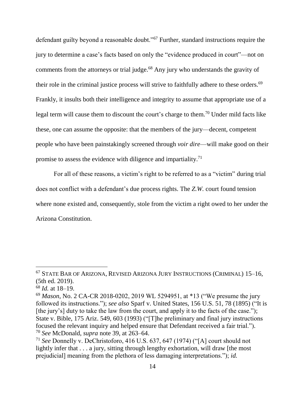defendant guilty beyond a reasonable doubt."<sup>67</sup> Further, standard instructions require the jury to determine a case's facts based on only the "evidence produced in court"—not on comments from the attorneys or trial judge.<sup>68</sup> Any jury who understands the gravity of their role in the criminal justice process will strive to faithfully adhere to these orders.<sup>69</sup> Frankly, it insults both their intelligence and integrity to assume that appropriate use of a legal term will cause them to discount the court's charge to them.<sup>70</sup> Under mild facts like these, one can assume the opposite: that the members of the jury—decent, competent people who have been painstakingly screened through *voir dire*—will make good on their promise to assess the evidence with diligence and impartiality.<sup>71</sup>

For all of these reasons, a victim's right to be referred to as a "victim" during trial does not conflict with a defendant's due process rights. The *Z.W.* court found tension where none existed and, consequently, stole from the victim a right owed to her under the Arizona Constitution.

<sup>67</sup> STATE BAR OF ARIZONA, REVISED ARIZONA JURY INSTRUCTIONS (CRIMINAL) 15–16, (5th ed. 2019).

<sup>68</sup> *Id.* at 18–19.

<sup>69</sup> *Mason*, No. 2 CA-CR 2018-0202, 2019 WL 5294951, at \*13 ("We presume the jury followed its instructions."); *see also* Sparf v. United States, 156 U.S. 51, 78 (1895) ("It is [the jury's] duty to take the law from the court, and apply it to the facts of the case."); State v. Bible, 175 Ariz. 549, 603 (1993) ("[T]he preliminary and final jury instructions focused the relevant inquiry and helped ensure that Defendant received a fair trial."). <sup>70</sup> *See* McDonald, *supra* note 39, at 263–64.

<sup>71</sup> *See* Donnelly v. DeChristoforo, 416 U.S. 637, 647 (1974) ("[A] court should not lightly infer that . . . a jury, sitting through lengthy exhortation, will draw [the most prejudicial] meaning from the plethora of less damaging interpretations."); *id.*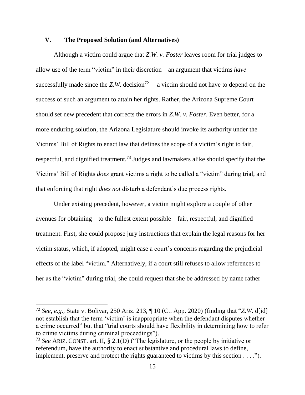## **V. The Proposed Solution (and Alternatives)**

Although a victim could argue that *Z.W. v. Foster* leaves room for trial judges to allow use of the term "victim" in their discretion—an argument that victims *have* successfully made since the  $Z$ .*W.* decision<sup>72</sup>— a victim should not have to depend on the success of such an argument to attain her rights. Rather, the Arizona Supreme Court should set new precedent that corrects the errors in *Z.W. v. Foster*. Even better, for a more enduring solution, the Arizona Legislature should invoke its authority under the Victims' Bill of Rights to enact law that defines the scope of a victim's right to fair, respectful, and dignified treatment.<sup>73</sup> Judges and lawmakers alike should specify that the Victims' Bill of Rights *does* grant victims a right to be called a "victim" during trial, and that enforcing that right *does not* disturb a defendant's due process rights.

Under existing precedent, however, a victim might explore a couple of other avenues for obtaining—to the fullest extent possible—fair, respectful, and dignified treatment. First, she could propose jury instructions that explain the legal reasons for her victim status, which, if adopted, might ease a court's concerns regarding the prejudicial effects of the label "victim." Alternatively, if a court still refuses to allow references to her as the "victim" during trial, she could request that she be addressed by name rather

<sup>72</sup> *See, e.g.,* State v. Bolivar, 250 Ariz. 213, ¶ 10 (Ct. App. 2020) (finding that "*Z.W.* d[id] not establish that the term 'victim' is inappropriate when the defendant disputes whether a crime occurred" but that "trial courts should have flexibility in determining how to refer to crime victims during criminal proceedings").

<sup>73</sup> *See* ARIZ. CONST. art. II, § 2.1(D) ("The legislature, or the people by initiative or referendum, have the authority to enact substantive and procedural laws to define, implement, preserve and protect the rights guaranteed to victims by this section . . . .").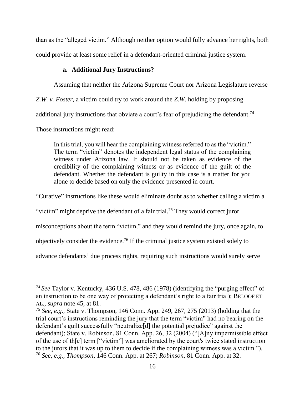than as the "alleged victim." Although neither option would fully advance her rights, both could provide at least some relief in a defendant-oriented criminal justice system.

# **a. Additional Jury Instructions?**

Assuming that neither the Arizona Supreme Court nor Arizona Legislature reverse

*Z.W. v. Foster*, a victim could try to work around the *Z.W.* holding by proposing

additional jury instructions that obviate a court's fear of prejudicing the defendant.<sup>74</sup>

Those instructions might read:

 $\overline{a}$ 

In this trial, you will hear the complaining witness referred to as the "victim." The term "victim" denotes the independent legal status of the complaining witness under Arizona law. It should not be taken as evidence of the credibility of the complaining witness or as evidence of the guilt of the defendant. Whether the defendant is guilty in this case is a matter for you alone to decide based on only the evidence presented in court.

"Curative" instructions like these would eliminate doubt as to whether calling a victim a

"victim" might deprive the defendant of a fair trial.<sup>75</sup> They would correct juror

misconceptions about the term "victim," and they would remind the jury, once again, to

objectively consider the evidence.<sup>76</sup> If the criminal justice system existed solely to

advance defendants' due process rights, requiring such instructions would surely serve

<sup>74</sup> *See* Taylor v. Kentucky, 436 U.S. 478, 486 (1978) (identifying the "purging effect" of an instruction to be one way of protecting a defendant's right to a fair trial); BELOOF ET AL., *supra* note 45, at 81.

<sup>75</sup> *See, e.g.,* State v. Thompson, 146 Conn. App. 249, 267, 275 (2013) (holding that the trial court's instructions reminding the jury that the term "victim" had no bearing on the defendant's guilt successfully "neutralize[d] the potential prejudice" against the defendant); State v. Robinson, 81 Conn. App. 26, 32 (2004) ("[A]ny impermissible effect of the use of th[e] term ["victim"] was ameliorated by the court's twice stated instruction to the jurors that it was up to them to decide if the complaining witness was a victim."). <sup>76</sup> *See, e.g., Thompson*, 146 Conn. App. at 267; *Robinson*, 81 Conn. App. at 32.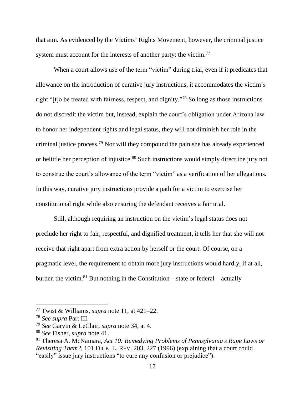that aim. As evidenced by the Victims' Rights Movement, however, the criminal justice system must account for the interests of another party: the victim.<sup>77</sup>

When a court allows use of the term "victim" during trial, even if it predicates that allowance on the introduction of curative jury instructions, it accommodates the victim's right "[t]o be treated with fairness, respect, and dignity."<sup>78</sup> So long as those instructions do not discredit the victim but, instead, explain the court's obligation under Arizona law to honor her independent rights and legal status, they will not diminish her role in the criminal justice process. <sup>79</sup> Nor will they compound the pain she has already experienced or belittle her perception of injustice.<sup>80</sup> Such instructions would simply direct the jury not to construe the court's allowance of the term "victim" as a verification of her allegations. In this way, curative jury instructions provide a path for a victim to exercise her constitutional right while also ensuring the defendant receives a fair trial.

Still, although requiring an instruction on the victim's legal status does not preclude her right to fair, respectful, and dignified treatment, it tells her that she will not receive that right apart from extra action by herself or the court. Of course, on a pragmatic level, the requirement to obtain more jury instructions would hardly, if at all, burden the victim.<sup>81</sup> But nothing in the Constitution—state or federal—actually

<sup>77</sup> Twist & Williams, *supra* note 11, at 421–22.

<sup>78</sup> *See supra* Part III.

<sup>79</sup> *See* Garvin & LeClair, *supra* note 34, at 4.

<sup>80</sup> *See* Fisher, *supra* note 41.

<sup>81</sup> Theresa A. McNamara, *Act 10: Remedying Problems of Pennsylvania's Rape Laws or Revisiting Them?*, 101 DICK. L. REV. 203, 227 (1996) (explaining that a court could "easily" issue jury instructions "to cure any confusion or prejudice").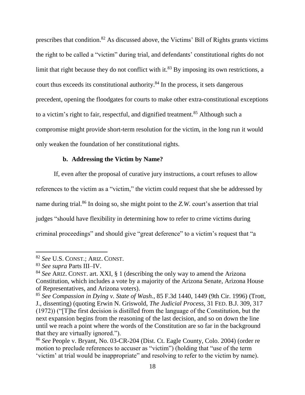prescribes that condition.<sup>82</sup> As discussed above, the Victims' Bill of Rights grants victims the right to be called a "victim" during trial, and defendants' constitutional rights do not limit that right because they do not conflict with it.<sup>83</sup> By imposing its own restrictions, a court thus exceeds its constitutional authority. <sup>84</sup> In the process, it sets dangerous precedent, opening the floodgates for courts to make other extra-constitutional exceptions to a victim's right to fair, respectful, and dignified treatment.<sup>85</sup> Although such a compromise might provide short-term resolution for the victim, in the long run it would only weaken the foundation of her constitutional rights.

#### **b. Addressing the Victim by Name?**

If, even after the proposal of curative jury instructions, a court refuses to allow references to the victim as a "victim," the victim could request that she be addressed by name during trial. <sup>86</sup> In doing so, she might point to the *Z.W.* court's assertion that trial judges "should have flexibility in determining how to refer to crime victims during criminal proceedings" and should give "great deference" to a victim's request that "a

<sup>82</sup> *See* U.S. CONST.; ARIZ. CONST.

<sup>83</sup> *See supra* Parts III–IV.

<sup>84</sup> *See* ARIZ. CONST. art. XXI, § 1 (describing the only way to amend the Arizona Constitution, which includes a vote by a majority of the Arizona Senate, Arizona House of Representatives, and Arizona voters).

<sup>85</sup> *See Compassion in Dying v. State of Wash.*, 85 F.3d 1440, 1449 (9th Cir. 1996) (Trott, J., dissenting) (quoting Erwin N. Griswold, *The Judicial Process*, 31 FED. B.J. 309, 317 (1972)) ("[T]he first decision is distilled from the language of the Constitution, but the next expansion begins from the reasoning of the last decision, and so on down the line until we reach a point where the words of the Constitution are so far in the background that they are virtually ignored.").

<sup>86</sup> *See* People v. Bryant, No. 03-CR-204 (Dist. Ct. Eagle County, Colo. 2004) (order re motion to preclude references to accuser as "victim") (holding that "use of the term 'victim' at trial would be inappropriate" and resolving to refer to the victim by name).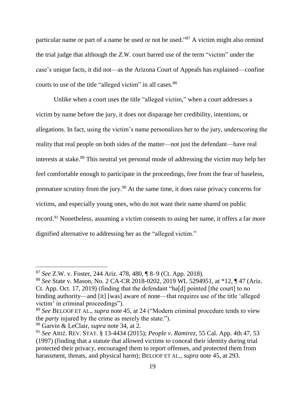particular name or part of a name be used or not be used."<sup>87</sup> A victim might also remind the trial judge that although the *Z.W.* court barred use of the term "victim" under the case's unique facts, it did not—as the Arizona Court of Appeals has explained—confine courts to use of the title "alleged victim" in all cases.<sup>88</sup>

Unlike when a court uses the title "alleged victim," when a court addresses a victim by name before the jury, it does not disparage her credibility, intentions, or allegations. In fact, using the victim's name personalizes her to the jury, underscoring the reality that real people on both sides of the matter—not just the defendant—have real interests at stake.<sup>89</sup> This neutral yet personal mode of addressing the victim may help her feel comfortable enough to participate in the proceedings, free from the fear of baseless, premature scrutiny from the jury.<sup>90</sup> At the same time, it does raise privacy concerns for victims, and especially young ones, who do not want their name shared on public record.<sup>91</sup> Nonetheless, assuming a victim consents to using her name, it offers a far more dignified alternative to addressing her as the "alleged victim."

<sup>87</sup> *See* Z.W. v. Foster, 244 Ariz. 478, 480, ¶ 8–9 (Ct. App. 2018).

<sup>88</sup> *See* State v. Mason, No. 2 CA-CR 2018-0202, 2019 WL 5294951, at \*12, ¶ 47 (Ariz. Ct. App. Oct. 17, 2019) (finding that the defendant "ha[d] pointed [the court] to no binding authority—and [it] [was] aware of none—that requires use of the title 'alleged victim' in criminal proceedings").

<sup>89</sup> *See* BELOOF ET AL., *supra* note 45, at 24 ("Modern criminal procedure tends to view the *party* injured by the crime as merely the state.").

<sup>90</sup> Garvin & LeClair, *supra* note 34, at 2.

<sup>91</sup> *See* ARIZ. REV. STAT. § 13-4434 (2015); *People v. Ramirez*, 55 Cal. App. 4th 47, 53 (1997) (finding that a statute that allowed victims to conceal their identity during trial protected their privacy, encouraged them to report offenses, and protected them from harassment, threats, and physical harm); BELOOF ET AL., *supra* note 45, at 293.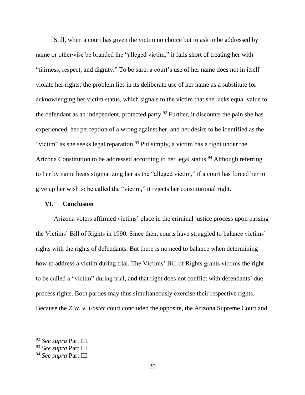Still, when a court has given the victim no choice but to ask to be addressed by name or otherwise be branded the "alleged victim," it falls short of treating her with "fairness, respect, and dignity." To be sure, a court's use of her name does not in itself violate her rights; the problem lies in its deliberate use of her name as a substitute for acknowledging her victim status, which signals to the victim that she lacks equal value to the defendant as an independent, protected party.<sup>92</sup> Further, it discounts the pain she has experienced, her perception of a wrong against her, and her desire to be identified as the "victim" as she seeks legal reparation.<sup>93</sup> Put simply, a victim has a right under the Arizona Constitution to be addressed according to her legal status.<sup>94</sup> Although referring to her by name beats stigmatizing her as the "alleged victim," if a court has forced her to give up her wish to be called the "victim," it rejects her constitutional right.

## **VI. Conclusion**

Arizona voters affirmed victims' place in the criminal justice process upon passing the Victims' Bill of Rights in 1990. Since then, courts have struggled to balance victims' rights with the rights of defendants. But there is no need to balance when determining how to address a victim during trial. The Victims' Bill of Rights grants victims the right to be called a "victim" during trial, and that right does not conflict with defendants' due process rights. Both parties may thus simultaneously exercise their respective rights. Because the *Z.W. v. Foster* court concluded the opposite, the Arizona Supreme Court and

<sup>92</sup> *See supra* Part III.

<sup>93</sup> *See supra* Part III.

<sup>94</sup> *See supra* Part III.